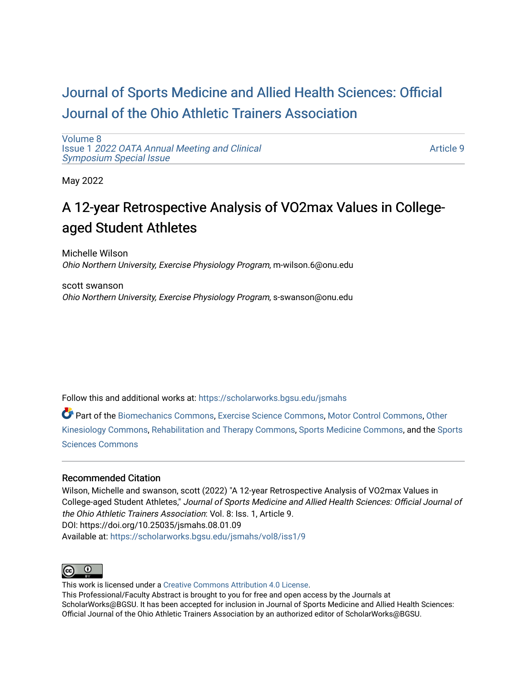## [Journal of Sports Medicine and Allied Health Sciences: Official](https://scholarworks.bgsu.edu/jsmahs)  [Journal of the Ohio Athletic Trainers Association](https://scholarworks.bgsu.edu/jsmahs)

[Volume 8](https://scholarworks.bgsu.edu/jsmahs/vol8) Issue 1 [2022 OATA Annual Meeting and Clinical](https://scholarworks.bgsu.edu/jsmahs/vol8/iss1) [Symposium Special Issue](https://scholarworks.bgsu.edu/jsmahs/vol8/iss1)

[Article 9](https://scholarworks.bgsu.edu/jsmahs/vol8/iss1/9) 

May 2022

# A 12-year Retrospective Analysis of VO2max Values in Collegeaged Student Athletes

Michelle Wilson Ohio Northern University, Exercise Physiology Program, m-wilson.6@onu.edu

scott swanson Ohio Northern University, Exercise Physiology Program, s-swanson@onu.edu

Follow this and additional works at: [https://scholarworks.bgsu.edu/jsmahs](https://scholarworks.bgsu.edu/jsmahs?utm_source=scholarworks.bgsu.edu%2Fjsmahs%2Fvol8%2Fiss1%2F9&utm_medium=PDF&utm_campaign=PDFCoverPages)

Part of the [Biomechanics Commons,](https://network.bepress.com/hgg/discipline/43?utm_source=scholarworks.bgsu.edu%2Fjsmahs%2Fvol8%2Fiss1%2F9&utm_medium=PDF&utm_campaign=PDFCoverPages) [Exercise Science Commons](https://network.bepress.com/hgg/discipline/1091?utm_source=scholarworks.bgsu.edu%2Fjsmahs%2Fvol8%2Fiss1%2F9&utm_medium=PDF&utm_campaign=PDFCoverPages), [Motor Control Commons](https://network.bepress.com/hgg/discipline/45?utm_source=scholarworks.bgsu.edu%2Fjsmahs%2Fvol8%2Fiss1%2F9&utm_medium=PDF&utm_campaign=PDFCoverPages), [Other](https://network.bepress.com/hgg/discipline/47?utm_source=scholarworks.bgsu.edu%2Fjsmahs%2Fvol8%2Fiss1%2F9&utm_medium=PDF&utm_campaign=PDFCoverPages)  [Kinesiology Commons,](https://network.bepress.com/hgg/discipline/47?utm_source=scholarworks.bgsu.edu%2Fjsmahs%2Fvol8%2Fiss1%2F9&utm_medium=PDF&utm_campaign=PDFCoverPages) [Rehabilitation and Therapy Commons](https://network.bepress.com/hgg/discipline/749?utm_source=scholarworks.bgsu.edu%2Fjsmahs%2Fvol8%2Fiss1%2F9&utm_medium=PDF&utm_campaign=PDFCoverPages), [Sports Medicine Commons](https://network.bepress.com/hgg/discipline/1331?utm_source=scholarworks.bgsu.edu%2Fjsmahs%2Fvol8%2Fiss1%2F9&utm_medium=PDF&utm_campaign=PDFCoverPages), and the [Sports](https://network.bepress.com/hgg/discipline/759?utm_source=scholarworks.bgsu.edu%2Fjsmahs%2Fvol8%2Fiss1%2F9&utm_medium=PDF&utm_campaign=PDFCoverPages)  [Sciences Commons](https://network.bepress.com/hgg/discipline/759?utm_source=scholarworks.bgsu.edu%2Fjsmahs%2Fvol8%2Fiss1%2F9&utm_medium=PDF&utm_campaign=PDFCoverPages) 

#### Recommended Citation

Wilson, Michelle and swanson, scott (2022) "A 12-year Retrospective Analysis of VO2max Values in College-aged Student Athletes," Journal of Sports Medicine and Allied Health Sciences: Official Journal of the Ohio Athletic Trainers Association: Vol. 8: Iss. 1, Article 9. DOI: https://doi.org/10.25035/jsmahs.08.01.09 Available at: [https://scholarworks.bgsu.edu/jsmahs/vol8/iss1/9](https://scholarworks.bgsu.edu/jsmahs/vol8/iss1/9?utm_source=scholarworks.bgsu.edu%2Fjsmahs%2Fvol8%2Fiss1%2F9&utm_medium=PDF&utm_campaign=PDFCoverPages)



This work is licensed under a [Creative Commons Attribution 4.0 License](https://creativecommons.org/licenses/by/4.0/). This Professional/Faculty Abstract is brought to you for free and open access by the Journals at ScholarWorks@BGSU. It has been accepted for inclusion in Journal of Sports Medicine and Allied Health Sciences: Official Journal of the Ohio Athletic Trainers Association by an authorized editor of ScholarWorks@BGSU.